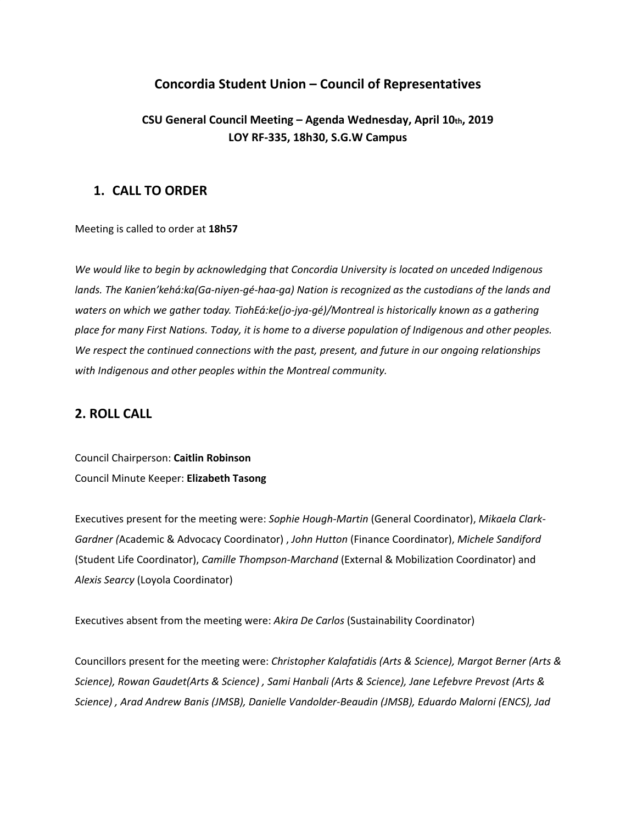# **Concordia Student Union – Council of Representatives**

# **CSU General Council Meeting – Agenda Wednesday, April 10th, 2019 LOY RF-335, 18h30, S.G.W Campus**

## **1. CALL TO ORDER**

Meeting is called to order at **18h57**

*We would like to begin by acknowledging that Concordia University is located on unceded Indigenous lands. The Kanien'kehá:ka(Ga-niyen-gé-haa-ga) Nation is recognized as the custodians of the lands and waters on which we gather today. TiohEá:ke(jo-jya-gé)/Montreal is historically known as a gathering* place for many First Nations. Today, it is home to a diverse population of Indigenous and other peoples. *We respect the continued connections with the past, present, and future in our ongoing relationships with Indigenous and other peoples within the Montreal community.*

## **2. ROLL CALL**

Council Chairperson: **Caitlin Robinson** Council Minute Keeper: **Elizabeth Tasong**

Executives present for the meeting were: *Sophie Hough-Martin* (General Coordinator), *Mikaela Clark-Gardner (*Academic & Advocacy Coordinator) , *John Hutton* (Finance Coordinator), *Michele Sandiford* (Student Life Coordinator), *Camille Thompson-Marchand* (External & Mobilization Coordinator) and *Alexis Searcy* (Loyola Coordinator)

Executives absent from the meeting were: *Akira De Carlos* (Sustainability Coordinator)

Councillors present for the meeting were: *Christopher Kalafatidis (Arts & Science), Margot Berner (Arts & Science), Rowan Gaudet(Arts & Science) , Sami Hanbali (Arts & Science), Jane Lefebvre Prevost (Arts & Science) , Arad Andrew Banis (JMSB), Danielle Vandolder-Beaudin (JMSB), Eduardo Malorni (ENCS), Jad*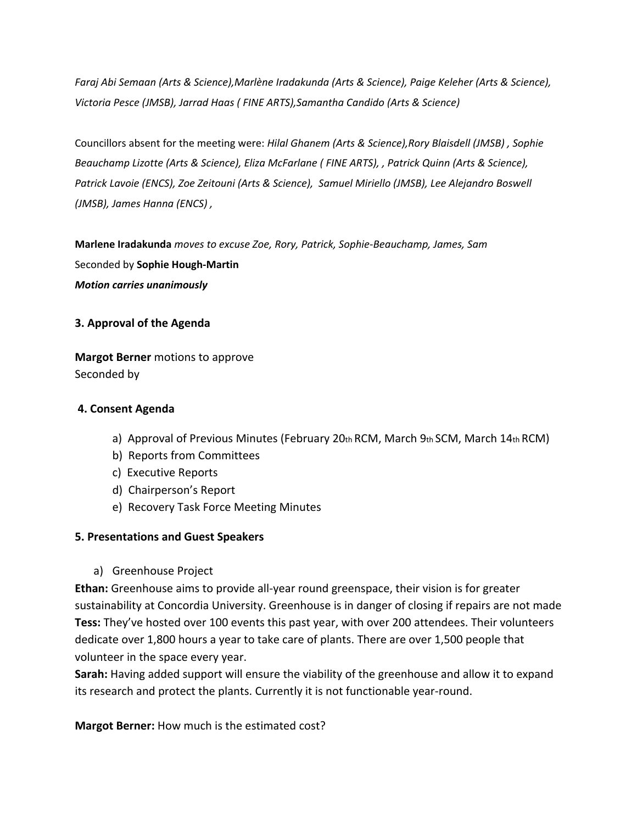*Faraj Abi Semaan (Arts & Science),Marlène Iradakunda (Arts & Science), Paige Keleher (Arts & Science), Victoria Pesce (JMSB), Jarrad Haas ( FINE ARTS),Samantha Candido (Arts & Science)*

Councillors absent for the meeting were: *Hilal Ghanem (Arts & Science),Rory Blaisdell (JMSB) , Sophie Beauchamp Lizotte (Arts & Science), Eliza McFarlane ( FINE ARTS), , Patrick Quinn (Arts & Science), Patrick Lavoie (ENCS), Zoe Zeitouni (Arts & Science), Samuel Miriello (JMSB), Lee Alejandro Boswell (JMSB), James Hanna (ENCS) ,*

**Marlene Iradakunda** *moves to excuse Zoe, Rory, Patrick, Sophie-Beauchamp, James, Sam* Seconded by **Sophie Hough-Martin** *Motion carries unanimously*

### **3. Approval of the Agenda**

**Margot Berner** motions to approve Seconded by

### **4. Consent Agenda**

- a) Approval of Previous Minutes (February 20th RCM, March 9th SCM, March  $14$ th RCM)
- b) Reports from Committees
- c) Executive Reports
- d) Chairperson's Report
- e) Recovery Task Force Meeting Minutes

### **5. Presentations and Guest Speakers**

a) Greenhouse Project

**Ethan:** Greenhouse aims to provide all-year round greenspace, their vision is for greater sustainability at Concordia University. Greenhouse is in danger of closing if repairs are not made **Tess:** They've hosted over 100 events this past year, with over 200 attendees. Their volunteers dedicate over 1,800 hours a year to take care of plants. There are over 1,500 people that volunteer in the space every year.

**Sarah:** Having added support will ensure the viability of the greenhouse and allow it to expand its research and protect the plants. Currently it is not functionable year-round.

**Margot Berner:** How much is the estimated cost?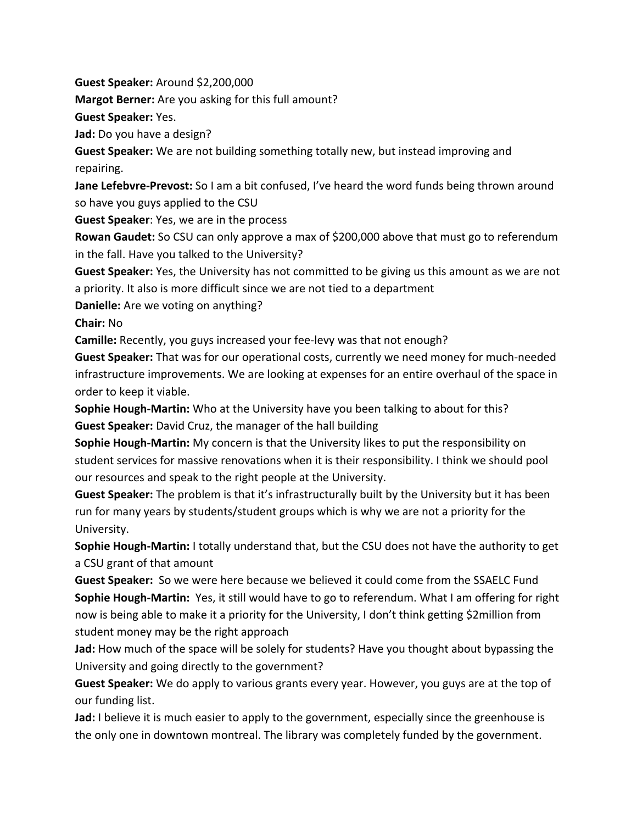**Guest Speaker:** Around \$2,200,000

**Margot Berner:** Are you asking for this full amount?

**Guest Speaker:** Yes.

**Jad:** Do you have a design?

**Guest Speaker:** We are not building something totally new, but instead improving and repairing.

**Jane Lefebvre-Prevost:** So I am a bit confused, I've heard the word funds being thrown around so have you guys applied to the CSU

**Guest Speaker**: Yes, we are in the process

**Rowan Gaudet:** So CSU can only approve a max of \$200,000 above that must go to referendum in the fall. Have you talked to the University?

**Guest Speaker:** Yes, the University has not committed to be giving us this amount as we are not a priority. It also is more difficult since we are not tied to a department

**Danielle:** Are we voting on anything?

**Chair:** No

**Camille:** Recently, you guys increased your fee-levy was that not enough?

**Guest Speaker:** That was for our operational costs, currently we need money for much-needed infrastructure improvements. We are looking at expenses for an entire overhaul of the space in order to keep it viable.

**Sophie Hough-Martin:** Who at the University have you been talking to about for this? **Guest Speaker:** David Cruz, the manager of the hall building

**Sophie Hough-Martin:** My concern is that the University likes to put the responsibility on student services for massive renovations when it is their responsibility. I think we should pool our resources and speak to the right people at the University.

**Guest Speaker:** The problem is that it's infrastructurally built by the University but it has been run for many years by students/student groups which is why we are not a priority for the University.

**Sophie Hough-Martin:** I totally understand that, but the CSU does not have the authority to get a CSU grant of that amount

**Guest Speaker:** So we were here because we believed it could come from the SSAELC Fund **Sophie Hough-Martin:** Yes, it still would have to go to referendum. What I am offering for right now is being able to make it a priority for the University, I don't think getting \$2million from student money may be the right approach

**Jad:** How much of the space will be solely for students? Have you thought about bypassing the University and going directly to the government?

**Guest Speaker:** We do apply to various grants every year. However, you guys are at the top of our funding list.

**Jad:** I believe it is much easier to apply to the government, especially since the greenhouse is the only one in downtown montreal. The library was completely funded by the government.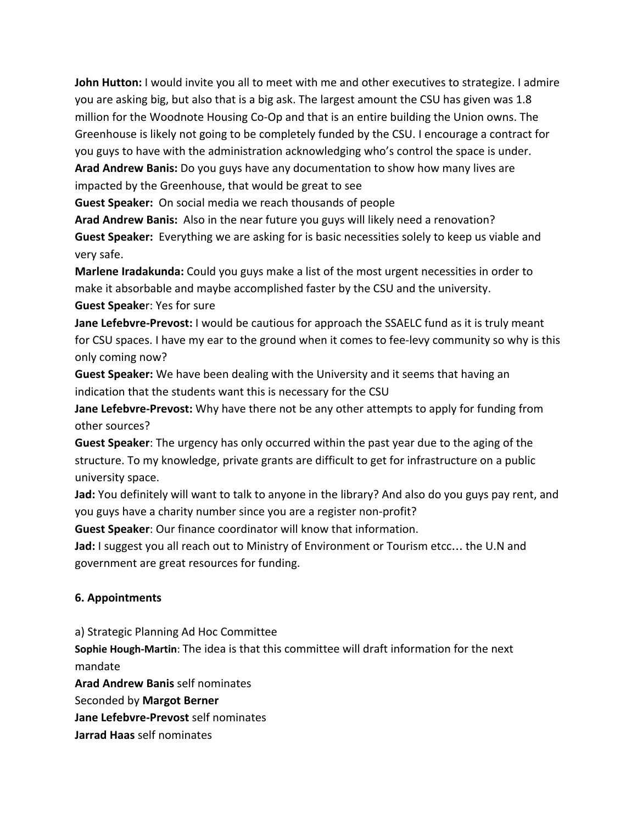**John Hutton:** I would invite you all to meet with me and other executives to strategize. I admire you are asking big, but also that is a big ask. The largest amount the CSU has given was 1.8 million for the Woodnote Housing Co-Op and that is an entire building the Union owns. The Greenhouse is likely not going to be completely funded by the CSU. I encourage a contract for you guys to have with the administration acknowledging who's control the space is under. **Arad Andrew Banis:** Do you guys have any documentation to show how many lives are impacted by the Greenhouse, that would be great to see

**Guest Speaker:** On social media we reach thousands of people

**Arad Andrew Banis:** Also in the near future you guys will likely need a renovation? **Guest Speaker:** Everything we are asking for is basic necessities solely to keep us viable and very safe.

**Marlene Iradakunda:** Could you guys make a list of the most urgent necessities in order to make it absorbable and maybe accomplished faster by the CSU and the university.

**Guest Speake**r: Yes for sure

**Jane Lefebvre-Prevost:** I would be cautious for approach the SSAELC fund as it is truly meant for CSU spaces. I have my ear to the ground when it comes to fee-levy community so why is this only coming now?

**Guest Speaker:** We have been dealing with the University and it seems that having an indication that the students want this is necessary for the CSU

**Jane Lefebvre-Prevost:** Why have there not be any other attempts to apply for funding from other sources?

**Guest Speaker**: The urgency has only occurred within the past year due to the aging of the structure. To my knowledge, private grants are difficult to get for infrastructure on a public university space.

**Jad:** You definitely will want to talk to anyone in the library? And also do you guys pay rent, and you guys have a charity number since you are a register non-profit?

**Guest Speaker**: Our finance coordinator will know that information.

**Jad:** I suggest you all reach out to Ministry of Environment or Tourism etcc… the U.N and government are great resources for funding.

## **6. Appointments**

a) Strategic Planning Ad Hoc Committee

**Sophie Hough-Martin**: The idea is that this committee will draft information for the next mandate

**Arad Andrew Banis** self nominates

Seconded by **Margot Berner**

**Jane Lefebvre-Prevost** self nominates

**Jarrad Haas** self nominates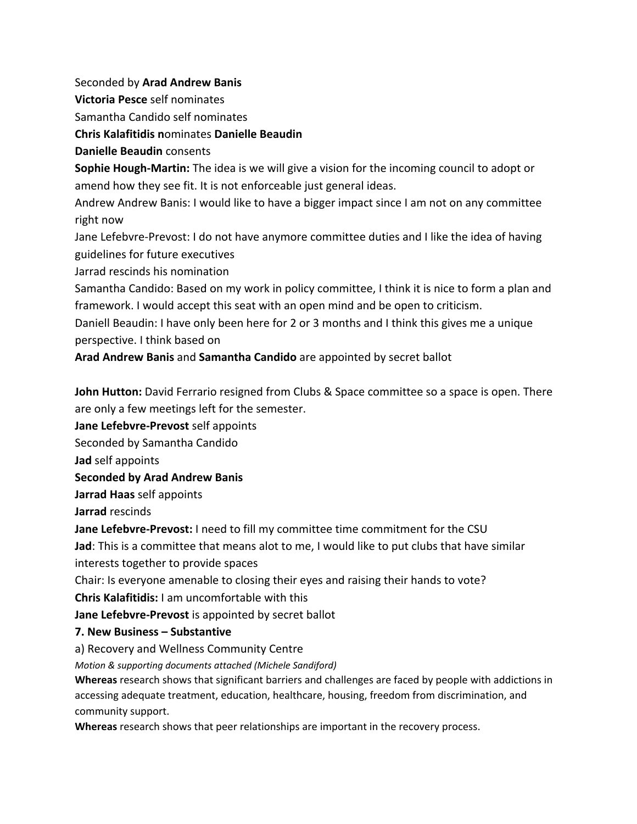Seconded by **Arad Andrew Banis**

**Victoria Pesce** self nominates

Samantha Candido self nominates

**Chris Kalafitidis n**ominates **Danielle Beaudin**

**Danielle Beaudin** consents

**Sophie Hough-Martin:** The idea is we will give a vision for the incoming council to adopt or amend how they see fit. It is not enforceable just general ideas.

Andrew Andrew Banis: I would like to have a bigger impact since I am not on any committee right now

Jane Lefebvre-Prevost: I do not have anymore committee duties and I like the idea of having guidelines for future executives

Jarrad rescinds his nomination

Samantha Candido: Based on my work in policy committee, I think it is nice to form a plan and framework. I would accept this seat with an open mind and be open to criticism.

Daniell Beaudin: I have only been here for 2 or 3 months and I think this gives me a unique perspective. I think based on

**Arad Andrew Banis** and **Samantha Candido** are appointed by secret ballot

**John Hutton:** David Ferrario resigned from Clubs & Space committee so a space is open. There are only a few meetings left for the semester.

**Jane Lefebvre-Prevost** self appoints

Seconded by Samantha Candido

**Jad** self appoints

**Seconded by Arad Andrew Banis**

**Jarrad Haas** self appoints

**Jarrad** rescinds

**Jane Lefebvre-Prevost:** I need to fill my committee time commitment for the CSU

**Jad**: This is a committee that means alot to me, I would like to put clubs that have similar interests together to provide spaces

Chair: Is everyone amenable to closing their eyes and raising their hands to vote?

**Chris Kalafitidis:** I am uncomfortable with this

**Jane Lefebvre-Prevost** is appointed by secret ballot

# **7. New Business – Substantive**

a) Recovery and Wellness Community Centre

*Motion & supporting documents attached (Michele Sandiford)*

**Whereas** research shows that significant barriers and challenges are faced by people with addictions in accessing adequate treatment, education, healthcare, housing, freedom from discrimination, and community support.

**Whereas** research shows that peer relationships are important in the recovery process.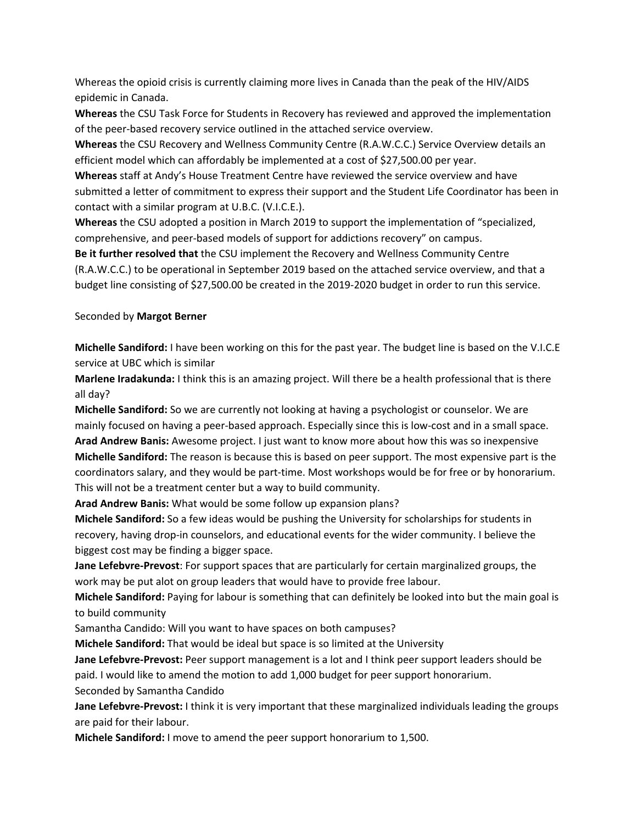Whereas the opioid crisis is currently claiming more lives in Canada than the peak of the HIV/AIDS epidemic in Canada.

**Whereas** the CSU Task Force for Students in Recovery has reviewed and approved the implementation of the peer-based recovery service outlined in the attached service overview.

**Whereas** the CSU Recovery and Wellness Community Centre (R.A.W.C.C.) Service Overview details an efficient model which can affordably be implemented at a cost of \$27,500.00 per year.

**Whereas** staff at Andy's House Treatment Centre have reviewed the service overview and have submitted a letter of commitment to express their support and the Student Life Coordinator has been in contact with a similar program at U.B.C. (V.I.C.E.).

**Whereas** the CSU adopted a position in March 2019 to support the implementation of "specialized, comprehensive, and peer-based models of support for addictions recovery" on campus.

**Be it further resolved that** the CSU implement the Recovery and Wellness Community Centre (R.A.W.C.C.) to be operational in September 2019 based on the attached service overview, and that a budget line consisting of \$27,500.00 be created in the 2019-2020 budget in order to run this service.

#### Seconded by **Margot Berner**

**Michelle Sandiford:** I have been working on this for the past year. The budget line is based on the V.I.C.E service at UBC which is similar

**Marlene Iradakunda:** I think this is an amazing project. Will there be a health professional that is there all day?

**Michelle Sandiford:** So we are currently not looking at having a psychologist or counselor. We are mainly focused on having a peer-based approach. Especially since this is low-cost and in a small space. **Arad Andrew Banis:** Awesome project. I just want to know more about how this was so inexpensive **Michelle Sandiford:** The reason is because this is based on peer support. The most expensive part is the coordinators salary, and they would be part-time. Most workshops would be for free or by honorarium. This will not be a treatment center but a way to build community.

**Arad Andrew Banis:** What would be some follow up expansion plans?

**Michele Sandiford:** So a few ideas would be pushing the University for scholarships for students in recovery, having drop-in counselors, and educational events for the wider community. I believe the biggest cost may be finding a bigger space.

**Jane Lefebvre-Prevost**: For support spaces that are particularly for certain marginalized groups, the work may be put alot on group leaders that would have to provide free labour.

**Michele Sandiford:** Paying for labour is something that can definitely be looked into but the main goal is to build community

Samantha Candido: Will you want to have spaces on both campuses?

**Michele Sandiford:** That would be ideal but space is so limited at the University

**Jane Lefebvre-Prevost:** Peer support management is a lot and I think peer support leaders should be paid. I would like to amend the motion to add 1,000 budget for peer support honorarium. Seconded by Samantha Candido

**Jane Lefebvre-Prevost:** I think it is very important that these marginalized individuals leading the groups are paid for their labour.

**Michele Sandiford:** I move to amend the peer support honorarium to 1,500.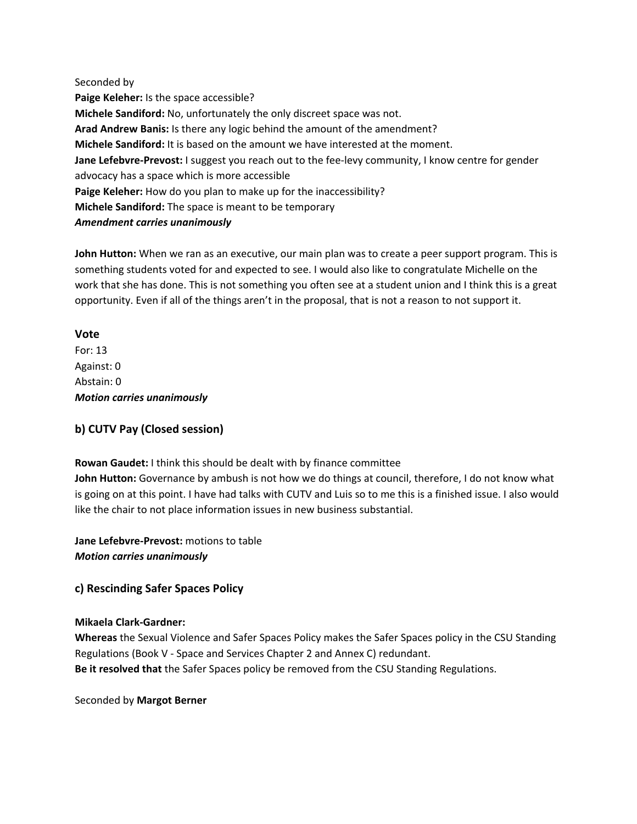Seconded by **Paige Keleher:** Is the space accessible? **Michele Sandiford:** No, unfortunately the only discreet space was not. **Arad Andrew Banis:** Is there any logic behind the amount of the amendment? **Michele Sandiford:** It is based on the amount we have interested at the moment. **Jane Lefebvre-Prevost:** I suggest you reach out to the fee-levy community, I know centre for gender advocacy has a space which is more accessible **Paige Keleher:** How do you plan to make up for the inaccessibility? **Michele Sandiford:** The space is meant to be temporary *Amendment carries unanimously*

**John Hutton:** When we ran as an executive, our main plan was to create a peer support program. This is something students voted for and expected to see. I would also like to congratulate Michelle on the work that she has done. This is not something you often see at a student union and I think this is a great opportunity. Even if all of the things aren't in the proposal, that is not a reason to not support it.

### **Vote**

For: 13 Against: 0 Abstain: 0 *Motion carries unanimously*

### **b) CUTV Pay (Closed session)**

**Rowan Gaudet:** I think this should be dealt with by finance committee **John Hutton:** Governance by ambush is not how we do things at council, therefore, I do not know what is going on at this point. I have had talks with CUTV and Luis so to me this is a finished issue. I also would like the chair to not place information issues in new business substantial.

**Jane Lefebvre-Prevost:** motions to table *Motion carries unanimously*

## **c) Rescinding Safer Spaces Policy**

### **Mikaela Clark-Gardner:**

**Whereas** the Sexual Violence and Safer Spaces Policy makes the Safer Spaces policy in the CSU Standing Regulations (Book V - Space and Services Chapter 2 and Annex C) redundant. **Be it resolved that** the Safer Spaces policy be removed from the CSU Standing Regulations.

Seconded by **Margot Berner**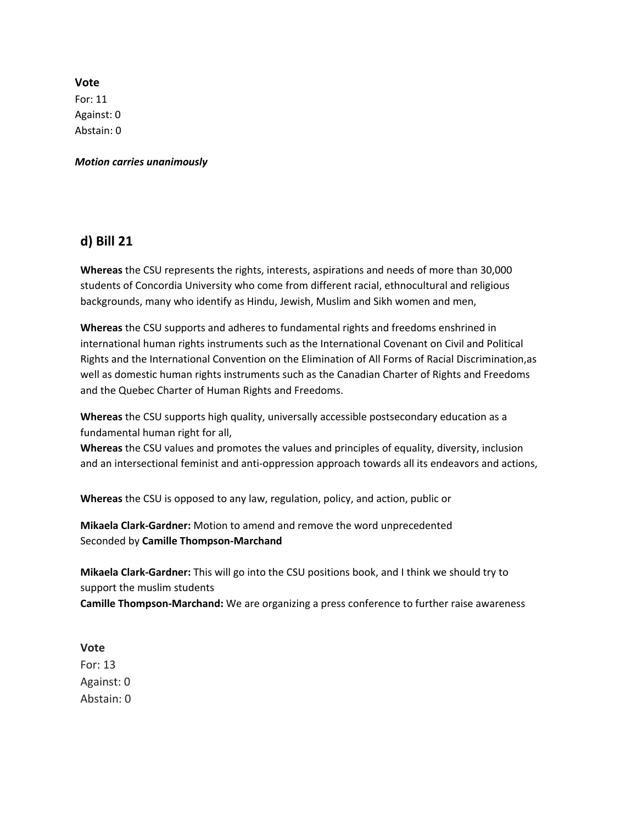**Vote** For: 11 Against: 0 Abstain: 0

*Motion carries unanimously*

## **d) Bill 21**

**Whereas** the CSU represents the rights, interests, aspirations and needs of more than 30,000 students of Concordia University who come from different racial, ethnocultural and religious backgrounds, many who identify as Hindu, Jewish, Muslim and Sikh women and men,

**Whereas** the CSU supports and adheres to fundamental rights and freedoms enshrined in international human rights instruments such as the International Covenant on Civil and Political Rights and the International Convention on the Elimination of All Forms of Racial Discrimination,as well as domestic human rights instruments such as the Canadian Charter of Rights and Freedoms and the Quebec Charter of Human Rights and Freedoms.

**Whereas** the CSU supports high quality, universally accessible postsecondary education as a fundamental human right for all,

**Whereas** the CSU values and promotes the values and principles of equality, diversity, inclusion and an intersectional feminist and anti-oppression approach towards all its endeavors and actions,

**Whereas** the CSU is opposed to any law, regulation, policy, and action, public or

**Mikaela Clark-Gardner:** Motion to amend and remove the word unprecedented Seconded by **Camille Thompson-Marchand**

**Mikaela Clark-Gardner:** This will go into the CSU positions book, and I think we should try to support the muslim students **Camille Thompson-Marchand:** We are organizing a press conference to further raise awareness

**Vote** For: 13 Against: 0 Abstain: 0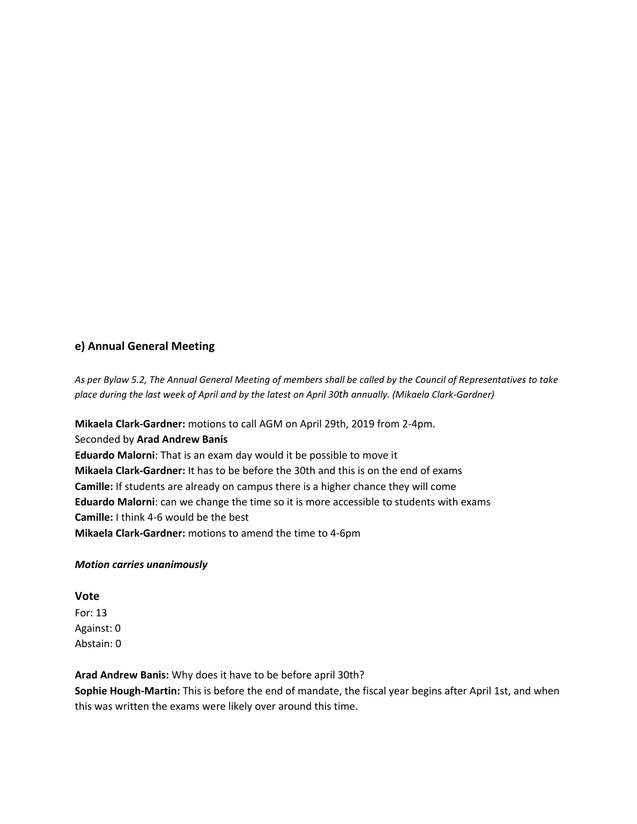### **e) Annual General Meeting**

As per Bylaw 5.2, The Annual General Meeting of members shall be called by the Council of Representatives to take place during the last week of April and by the latest on April 30th annually. (Mikaela Clark-Gardner)

**Mikaela Clark-Gardner:** motions to call AGM on April 29th, 2019 from 2-4pm.

Seconded by **Arad Andrew Banis**

**Eduardo Malorni**: That is an exam day would it be possible to move it **Mikaela Clark-Gardner:** It has to be before the 30th and this is on the end of exams **Camille:** If students are already on campus there is a higher chance they will come **Eduardo Malorni**: can we change the time so it is more accessible to students with exams **Camille:** I think 4-6 would be the best **Mikaela Clark-Gardner:** motions to amend the time to 4-6pm

#### *Motion carries unanimously*

**Vote**

For: 13 Against: 0 Abstain: 0

**Arad Andrew Banis:** Why does it have to be before april 30th?

**Sophie Hough-Martin:** This is before the end of mandate, the fiscal year begins after April 1st, and when this was written the exams were likely over around this time.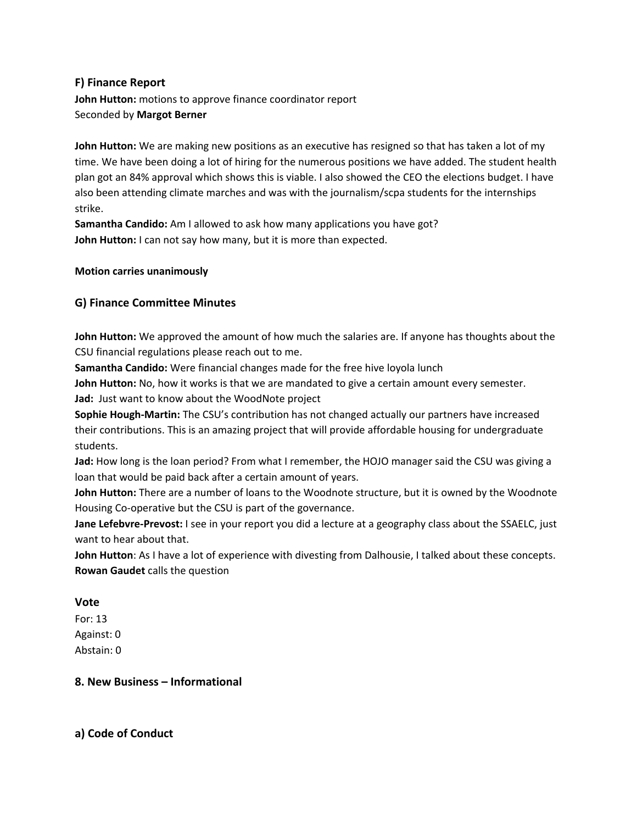#### **F) Finance Report**

**John Hutton:** motions to approve finance coordinator report Seconded by **Margot Berner**

**John Hutton:** We are making new positions as an executive has resigned so that has taken a lot of my time. We have been doing a lot of hiring for the numerous positions we have added. The student health plan got an 84% approval which shows this is viable. I also showed the CEO the elections budget. I have also been attending climate marches and was with the journalism/scpa students for the internships strike.

**Samantha Candido:** Am I allowed to ask how many applications you have got? **John Hutton:** I can not say how many, but it is more than expected.

#### **Motion carries unanimously**

#### **G) Finance Committee Minutes**

**John Hutton:** We approved the amount of how much the salaries are. If anyone has thoughts about the CSU financial regulations please reach out to me.

**Samantha Candido:** Were financial changes made for the free hive loyola lunch

**John Hutton:** No, how it works is that we are mandated to give a certain amount every semester.

**Jad:** Just want to know about the WoodNote project

**Sophie Hough-Martin:** The CSU's contribution has not changed actually our partners have increased their contributions. This is an amazing project that will provide affordable housing for undergraduate students.

**Jad:** How long is the loan period? From what I remember, the HOJO manager said the CSU was giving a loan that would be paid back after a certain amount of years.

**John Hutton:** There are a number of loans to the Woodnote structure, but it is owned by the Woodnote Housing Co-operative but the CSU is part of the governance.

**Jane Lefebvre-Prevost:** I see in your report you did a lecture at a geography class about the SSAELC, just want to hear about that.

**John Hutton**: As I have a lot of experience with divesting from Dalhousie, I talked about these concepts. **Rowan Gaudet** calls the question

#### **Vote**

For: 13 Against: 0 Abstain: 0

#### **8. New Business – Informational**

**a) Code of Conduct**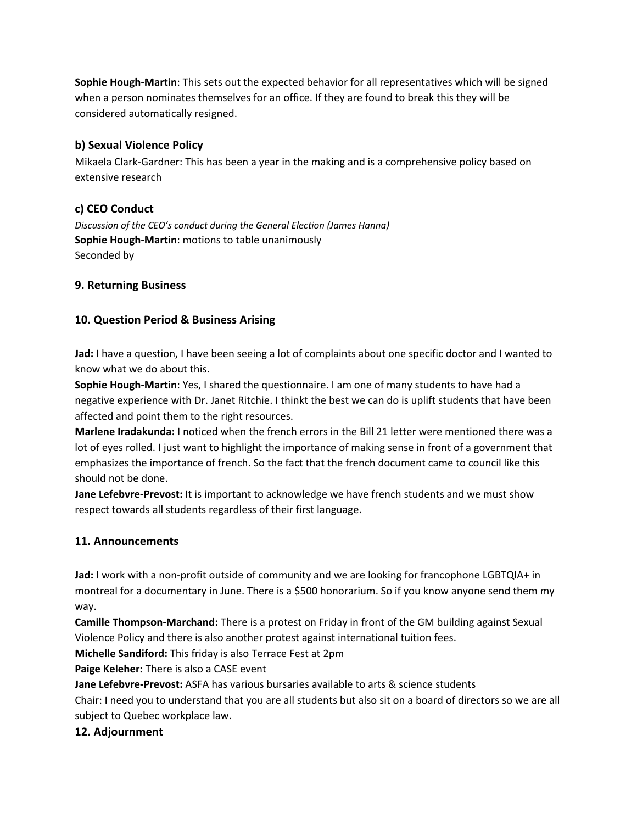**Sophie Hough-Martin**: This sets out the expected behavior for all representatives which will be signed when a person nominates themselves for an office. If they are found to break this they will be considered automatically resigned.

### **b) Sexual Violence Policy**

Mikaela Clark-Gardner: This has been a year in the making and is a comprehensive policy based on extensive research

## **c) CEO Conduct**

*Discussion of the CEO's conduct during the General Election (James Hanna)* **Sophie Hough-Martin**: motions to table unanimously Seconded by

## **9. Returning Business**

## **10. Question Period & Business Arising**

**Jad:** I have a question, I have been seeing a lot of complaints about one specific doctor and I wanted to know what we do about this.

**Sophie Hough-Martin**: Yes, I shared the questionnaire. I am one of many students to have had a negative experience with Dr. Janet Ritchie. I thinkt the best we can do is uplift students that have been affected and point them to the right resources.

**Marlene Iradakunda:** I noticed when the french errors in the Bill 21 letter were mentioned there was a lot of eyes rolled. I just want to highlight the importance of making sense in front of a government that emphasizes the importance of french. So the fact that the french document came to council like this should not be done.

**Jane Lefebvre-Prevost:** It is important to acknowledge we have french students and we must show respect towards all students regardless of their first language.

## **11. Announcements**

**Jad:** I work with a non-profit outside of community and we are looking for francophone LGBTQIA+ in montreal for a documentary in June. There is a \$500 honorarium. So if you know anyone send them my way.

**Camille Thompson-Marchand:** There is a protest on Friday in front of the GM building against Sexual Violence Policy and there is also another protest against international tuition fees.

**Michelle Sandiford:** This friday is also Terrace Fest at 2pm

**Paige Keleher:** There is also a CASE event

**Jane Lefebvre-Prevost:** ASFA has various bursaries available to arts & science students

Chair: I need you to understand that you are all students but also sit on a board of directors so we are all subject to Quebec workplace law.

## **12. Adjournment**